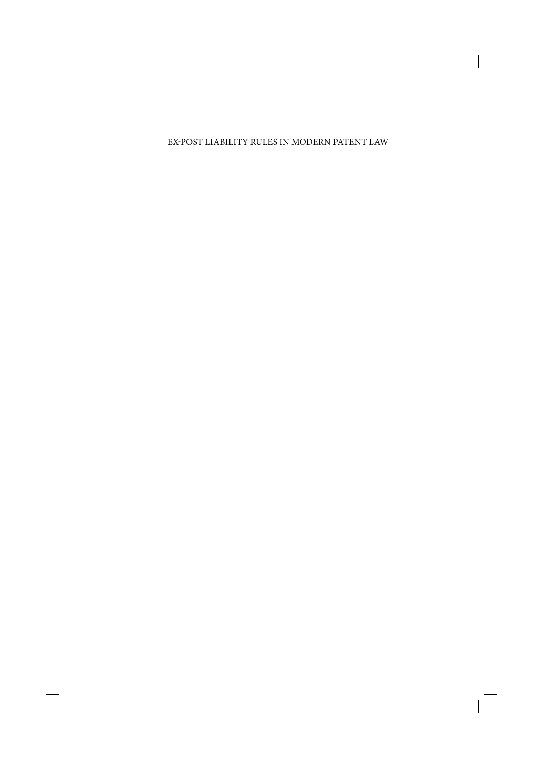#### EXPOST LIABILITY RULES IN MODERN PATENT LAW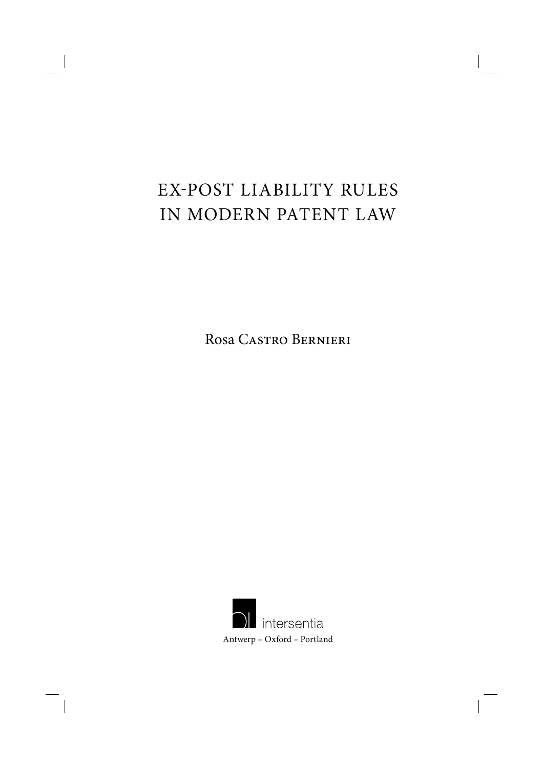# EXPOST LIABILITY RULES IN MODERN PATENT LAW

Rosa Castro Bernieri

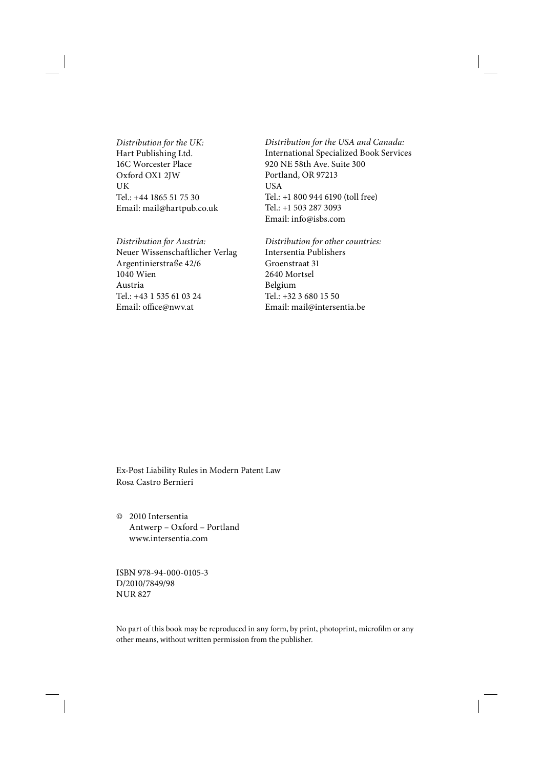*Distribution for the UK:* Hart Publishing Ltd. 16C Worcester Place Oxford OX1 2JW UK Tel.: +44 1865 51 75 30 Email: mail@hartpub.co.uk

*Distribution for Austria:* Neuer Wissenschaftlicher Verlag Argentinierstraße 42/6 1040 Wien Austria Tel.: +43 1 535 61 03 24 Email: office@nwv.at

*Distribution for the USA and Canada:* International Specialized Book Services 920 NE 58th Ave. Suite 300 Portland, OR 97213 **USA** Tel.: +1 800 944 6190 (toll free) Tel.: +1 503 287 3093 Email: info@isbs.com

*Distribution for other countries:* Intersentia Publishers Groenstraat 31 2640 Mortsel Belgium Tel.: +32 3 680 15 50 Email: mail@intersentia.be

Ex-Post Liability Rules in Modern Patent Law Rosa Castro Bernieri

© 2010 Intersentia Antwerp – Oxford – Portland www.intersentia.com

ISBN 978-94-000-0105-3 D/2010/7849/98 NUR 827

No part of this book may be reproduced in any form, by print, photoprint, microfilm or any other means, without written permission from the publisher.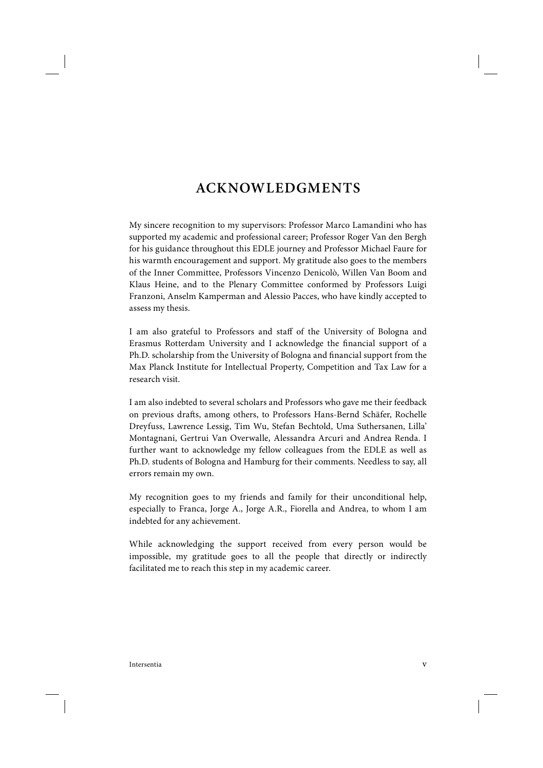### **ACKNOWLEDGMENTS**

My sincere recognition to my supervisors: Professor Marco Lamandini who has supported my academic and professional career; Professor Roger Van den Bergh for his guidance throughout this EDLE journey and Professor Michael Faure for his warmth encouragement and support. My gratitude also goes to the members of the Inner Committee, Professors Vincenzo Denicolò, Willen Van Boom and Klaus Heine, and to the Plenary Committee conformed by Professors Luigi Franzoni, Anselm Kamperman and Alessio Pacces, who have kindly accepted to assess my thesis.

I am also grateful to Professors and staff of the University of Bologna and Erasmus Rotterdam University and I acknowledge the financial support of a Ph.D. scholarship from the University of Bologna and financial support from the Max Planck Institute for Intellectual Property, Competition and Tax Law for a research visit.

I am also indebted to several scholars and Professors who gave me their feedback on previous drafts, among others, to Professors Hans-Bernd Schäfer, Rochelle Dreyfuss, Lawrence Lessig, Tim Wu, Stefan Bechtold, Uma Suthersanen, Lilla' Montagnani, Gertrui Van Overwalle, Alessandra Arcuri and Andrea Renda. I further want to acknowledge my fellow colleagues from the EDLE as well as Ph.D. students of Bologna and Hamburg for their comments. Needless to say, all errors remain my own.

My recognition goes to my friends and family for their unconditional help, especially to Franca, Jorge A., Jorge A.R., Fiorella and Andrea, to whom I am indebted for any achievement.

While acknowledging the support received from every person would be impossible, my gratitude goes to all the people that directly or indirectly facilitated me to reach this step in my academic career.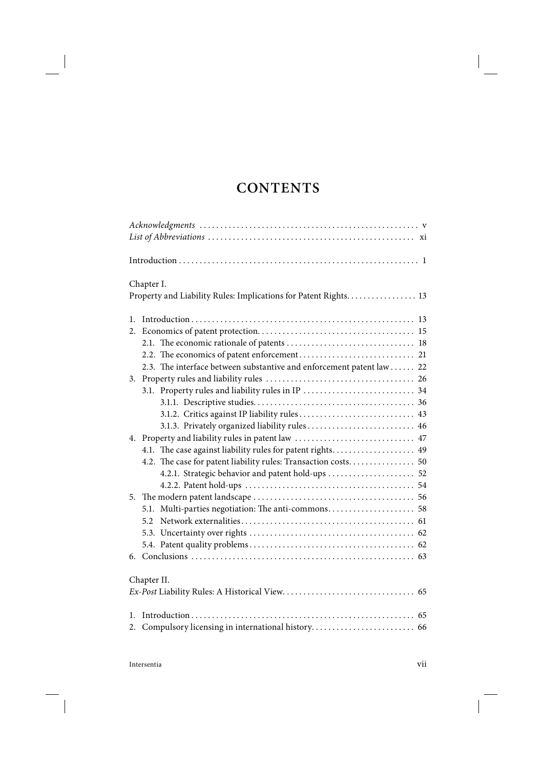## **CONTENTS**

| Chapter I.                                                           |  |
|----------------------------------------------------------------------|--|
| Property and Liability Rules: Implications for Patent Rights. 13     |  |
| $1_{-}$                                                              |  |
| 2.                                                                   |  |
|                                                                      |  |
|                                                                      |  |
| 2.3. The interface between substantive and enforcement patent law 22 |  |
| 3.                                                                   |  |
|                                                                      |  |
|                                                                      |  |
|                                                                      |  |
|                                                                      |  |
|                                                                      |  |
| 4.1. The case against liability rules for patent rights 49           |  |
| 4.2. The case for patent liability rules: Transaction costs 50       |  |
| 4.2.1. Strategic behavior and patent hold-ups  52                    |  |
|                                                                      |  |
|                                                                      |  |
|                                                                      |  |
| 5.2.                                                                 |  |
|                                                                      |  |
|                                                                      |  |
| 6.                                                                   |  |
| Chapter II.                                                          |  |
|                                                                      |  |
| 1.                                                                   |  |
|                                                                      |  |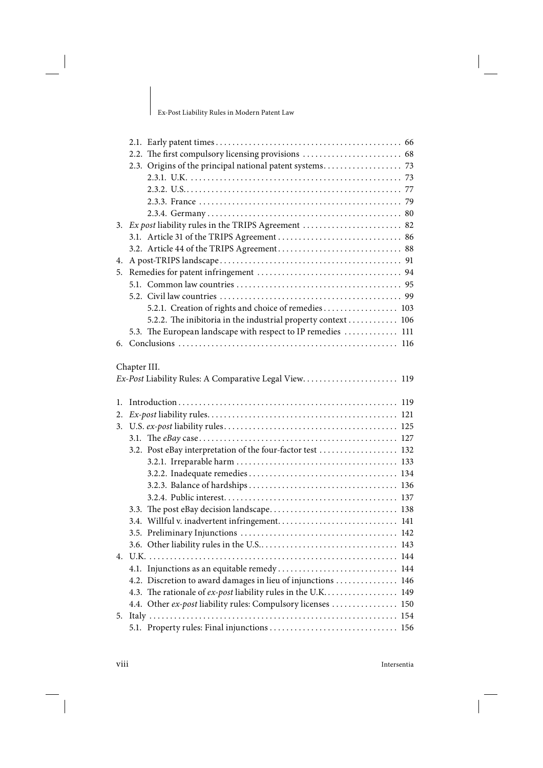I

| 3. Ex post liability rules in the TRIPS Agreement  82 |                                                              |
|-------------------------------------------------------|--------------------------------------------------------------|
|                                                       |                                                              |
|                                                       |                                                              |
| 4.                                                    |                                                              |
| 5.                                                    |                                                              |
|                                                       |                                                              |
|                                                       |                                                              |
|                                                       | 5.2.1. Creation of rights and choice of remedies 103         |
|                                                       | 5.2.2. The inibitoria in the industrial property context 106 |
|                                                       | 5.3. The European landscape with respect to IP remedies  111 |
|                                                       |                                                              |
|                                                       |                                                              |
|                                                       | Chapter III.                                                 |
|                                                       | Ex-Post Liability Rules: A Comparative Legal View 119        |
|                                                       |                                                              |
| 1.                                                    |                                                              |
| 2.                                                    |                                                              |
| 3.                                                    |                                                              |
|                                                       |                                                              |
|                                                       | 3.2. Post eBay interpretation of the four-factor test  132   |
|                                                       |                                                              |
|                                                       |                                                              |
|                                                       |                                                              |
|                                                       |                                                              |
|                                                       |                                                              |
|                                                       |                                                              |
|                                                       |                                                              |
|                                                       |                                                              |
|                                                       |                                                              |
| 4.                                                    |                                                              |
|                                                       |                                                              |
|                                                       | 4.2. Discretion to award damages in lieu of injunctions  146 |
|                                                       | 4.3. The rationale of ex-post liability rules in the U.K 149 |
|                                                       | 4.4. Other ex-post liability rules: Compulsory licenses  150 |
| 5.                                                    |                                                              |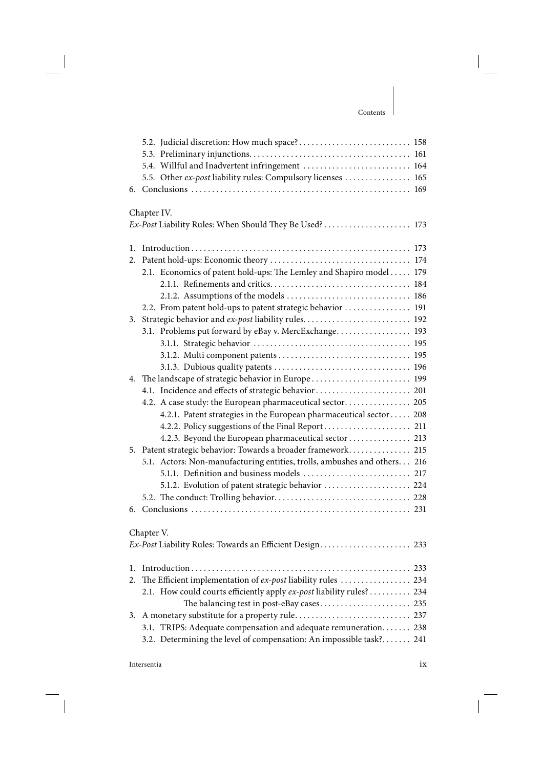|    | 5.4. Willful and Inadvertent infringement  164                           |  |  |
|----|--------------------------------------------------------------------------|--|--|
|    | 5.5. Other ex-post liability rules: Compulsory licenses  165             |  |  |
| 6. |                                                                          |  |  |
|    |                                                                          |  |  |
|    | Chapter IV.                                                              |  |  |
|    | Ex-Post Liability Rules: When Should They Be Used?  173                  |  |  |
|    |                                                                          |  |  |
| 1. |                                                                          |  |  |
| 2. |                                                                          |  |  |
|    | 2.1. Economics of patent hold-ups: The Lemley and Shapiro model 179      |  |  |
|    |                                                                          |  |  |
|    |                                                                          |  |  |
|    | 2.2. From patent hold-ups to patent strategic behavior  191              |  |  |
| 3. | Strategic behavior and ex-post liability rules 192                       |  |  |
|    | 3.1. Problems put forward by eBay v. MercExchange 193                    |  |  |
|    |                                                                          |  |  |
|    |                                                                          |  |  |
|    |                                                                          |  |  |
|    | 4. The landscape of strategic behavior in Europe 199                     |  |  |
|    | 4.1. Incidence and effects of strategic behavior 201                     |  |  |
|    | 4.2. A case study: the European pharmaceutical sector 205                |  |  |
|    | 4.2.1. Patent strategies in the European pharmaceutical sector 208       |  |  |
|    | 4.2.3. Beyond the European pharmaceutical sector  213                    |  |  |
|    | 5. Patent strategic behavior: Towards a broader framework 215            |  |  |
|    | 5.1. Actors: Non-manufacturing entities, trolls, ambushes and others 216 |  |  |
|    |                                                                          |  |  |
|    | 5.1.2. Evolution of patent strategic behavior  224                       |  |  |
|    |                                                                          |  |  |
| 6. |                                                                          |  |  |
|    |                                                                          |  |  |
|    | Chapter V.                                                               |  |  |
|    |                                                                          |  |  |
|    |                                                                          |  |  |
| 1. |                                                                          |  |  |
| 2. | The Efficient implementation of ex-post liability rules  234             |  |  |
|    | 2.1. How could courts efficiently apply ex-post liability rules? 234     |  |  |
|    |                                                                          |  |  |
| 3. |                                                                          |  |  |
|    | 3.1. TRIPS: Adequate compensation and adequate remuneration. 238         |  |  |
|    | 3.2. Determining the level of compensation: An impossible task? 241      |  |  |
|    |                                                                          |  |  |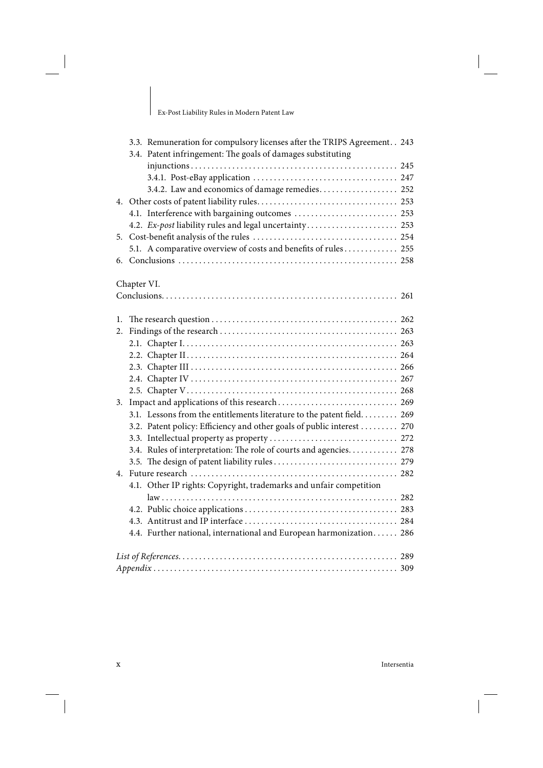Ex-Post Liability Rules in Modern Patent Law

|    | 3.3. Remuneration for compulsory licenses after the TRIPS Agreement. . 243<br>3.4. Patent infringement: The goals of damages substituting |  |  |  |  |
|----|-------------------------------------------------------------------------------------------------------------------------------------------|--|--|--|--|
|    |                                                                                                                                           |  |  |  |  |
|    |                                                                                                                                           |  |  |  |  |
|    | 3.4.2. Law and economics of damage remedies 252                                                                                           |  |  |  |  |
|    |                                                                                                                                           |  |  |  |  |
|    | 4.1. Interference with bargaining outcomes  253                                                                                           |  |  |  |  |
|    |                                                                                                                                           |  |  |  |  |
| 5. |                                                                                                                                           |  |  |  |  |
|    | 5.1. A comparative overview of costs and benefits of rules 255                                                                            |  |  |  |  |
|    |                                                                                                                                           |  |  |  |  |
|    |                                                                                                                                           |  |  |  |  |
|    | Chapter VI.                                                                                                                               |  |  |  |  |
|    |                                                                                                                                           |  |  |  |  |
|    |                                                                                                                                           |  |  |  |  |
| 1. |                                                                                                                                           |  |  |  |  |
| 2. |                                                                                                                                           |  |  |  |  |
|    |                                                                                                                                           |  |  |  |  |
|    |                                                                                                                                           |  |  |  |  |
|    |                                                                                                                                           |  |  |  |  |
|    |                                                                                                                                           |  |  |  |  |
|    |                                                                                                                                           |  |  |  |  |
| 3. |                                                                                                                                           |  |  |  |  |
|    | 3.1. Lessons from the entitlements literature to the patent field. 269                                                                    |  |  |  |  |
|    | 3.2. Patent policy: Efficiency and other goals of public interest  270                                                                    |  |  |  |  |
|    |                                                                                                                                           |  |  |  |  |
|    | 3.4. Rules of interpretation: The role of courts and agencies 278                                                                         |  |  |  |  |
|    |                                                                                                                                           |  |  |  |  |
|    |                                                                                                                                           |  |  |  |  |
|    | 4.1. Other IP rights: Copyright, trademarks and unfair competition                                                                        |  |  |  |  |
|    |                                                                                                                                           |  |  |  |  |
|    |                                                                                                                                           |  |  |  |  |
|    |                                                                                                                                           |  |  |  |  |
|    | 4.4. Further national, international and European harmonization 286                                                                       |  |  |  |  |
|    |                                                                                                                                           |  |  |  |  |
|    |                                                                                                                                           |  |  |  |  |
|    |                                                                                                                                           |  |  |  |  |